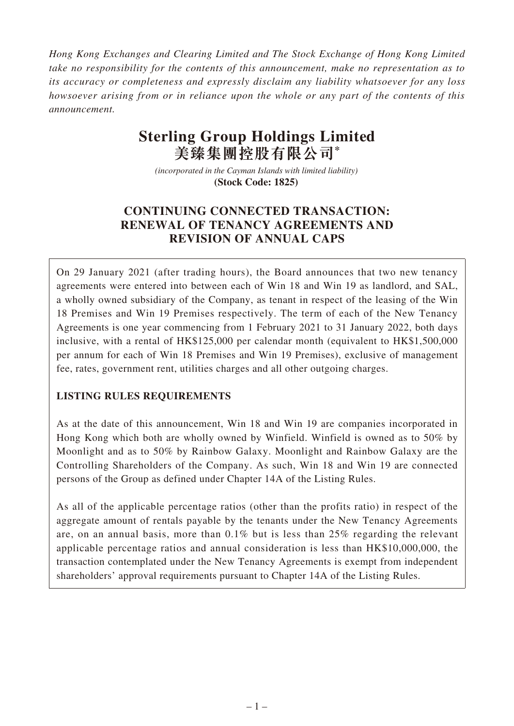*Hong Kong Exchanges and Clearing Limited and The Stock Exchange of Hong Kong Limited take no responsibility for the contents of this announcement, make no representation as to its accuracy or completeness and expressly disclaim any liability whatsoever for any loss howsoever arising from or in reliance upon the whole or any part of the contents of this announcement.*

# **Sterling Group Holdings Limited 美臻集團控股有限公司\***

*(incorporated in the Cayman Islands with limited liability)*  **(Stock Code: 1825)** 

## **CONTINUING CONNECTED TRANSACTION: RENEWAL OF TENANCY AGREEMENTS AND REVISION OF ANNUAL CAPS**

On 29 January 2021 (after trading hours), the Board announces that two new tenancy agreements were entered into between each of Win 18 and Win 19 as landlord, and SAL, a wholly owned subsidiary of the Company, as tenant in respect of the leasing of the Win 18 Premises and Win 19 Premises respectively. The term of each of the New Tenancy Agreements is one year commencing from 1 February 2021 to 31 January 2022, both days inclusive, with a rental of HK\$125,000 per calendar month (equivalent to HK\$1,500,000 per annum for each of Win 18 Premises and Win 19 Premises), exclusive of management fee, rates, government rent, utilities charges and all other outgoing charges.

## **LISTING RULES REQUIREMENTS**

As at the date of this announcement, Win 18 and Win 19 are companies incorporated in Hong Kong which both are wholly owned by Winfield. Winfield is owned as to 50% by Moonlight and as to 50% by Rainbow Galaxy. Moonlight and Rainbow Galaxy are the Controlling Shareholders of the Company. As such, Win 18 and Win 19 are connected persons of the Group as defined under Chapter 14A of the Listing Rules.

As all of the applicable percentage ratios (other than the profits ratio) in respect of the aggregate amount of rentals payable by the tenants under the New Tenancy Agreements are, on an annual basis, more than 0.1% but is less than 25% regarding the relevant applicable percentage ratios and annual consideration is less than HK\$10,000,000, the transaction contemplated under the New Tenancy Agreements is exempt from independent shareholders' approval requirements pursuant to Chapter 14A of the Listing Rules.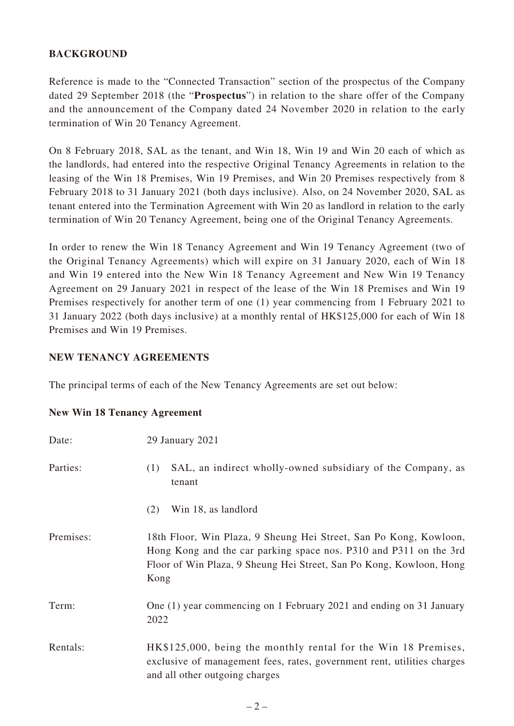## **BACKGROUND**

Reference is made to the "Connected Transaction" section of the prospectus of the Company dated 29 September 2018 (the "**Prospectus**") in relation to the share offer of the Company and the announcement of the Company dated 24 November 2020 in relation to the early termination of Win 20 Tenancy Agreement.

On 8 February 2018, SAL as the tenant, and Win 18, Win 19 and Win 20 each of which as the landlords, had entered into the respective Original Tenancy Agreements in relation to the leasing of the Win 18 Premises, Win 19 Premises, and Win 20 Premises respectively from 8 February 2018 to 31 January 2021 (both days inclusive). Also, on 24 November 2020, SAL as tenant entered into the Termination Agreement with Win 20 as landlord in relation to the early termination of Win 20 Tenancy Agreement, being one of the Original Tenancy Agreements.

In order to renew the Win 18 Tenancy Agreement and Win 19 Tenancy Agreement (two of the Original Tenancy Agreements) which will expire on 31 January 2020, each of Win 18 and Win 19 entered into the New Win 18 Tenancy Agreement and New Win 19 Tenancy Agreement on 29 January 2021 in respect of the lease of the Win 18 Premises and Win 19 Premises respectively for another term of one (1) year commencing from 1 February 2021 to 31 January 2022 (both days inclusive) at a monthly rental of HK\$125,000 for each of Win 18 Premises and Win 19 Premises.

#### **NEW TENANCY AGREEMENTS**

The principal terms of each of the New Tenancy Agreements are set out below:

|  |  |  |  | <b>New Win 18 Tenancy Agreement</b> |
|--|--|--|--|-------------------------------------|
|--|--|--|--|-------------------------------------|

| Date:     | 29 January 2021                                                                                                                                                                                                       |
|-----------|-----------------------------------------------------------------------------------------------------------------------------------------------------------------------------------------------------------------------|
| Parties:  | SAL, an indirect wholly-owned subsidiary of the Company, as<br>(1)<br>tenant                                                                                                                                          |
|           | Win 18, as landlord<br>(2)                                                                                                                                                                                            |
| Premises: | 18th Floor, Win Plaza, 9 Sheung Hei Street, San Po Kong, Kowloon,<br>Hong Kong and the car parking space nos. P310 and P311 on the 3rd<br>Floor of Win Plaza, 9 Sheung Hei Street, San Po Kong, Kowloon, Hong<br>Kong |
| Term:     | One (1) year commencing on 1 February 2021 and ending on 31 January<br>2022                                                                                                                                           |
| Rentals:  | HK\$125,000, being the monthly rental for the Win 18 Premises,<br>exclusive of management fees, rates, government rent, utilities charges<br>and all other outgoing charges                                           |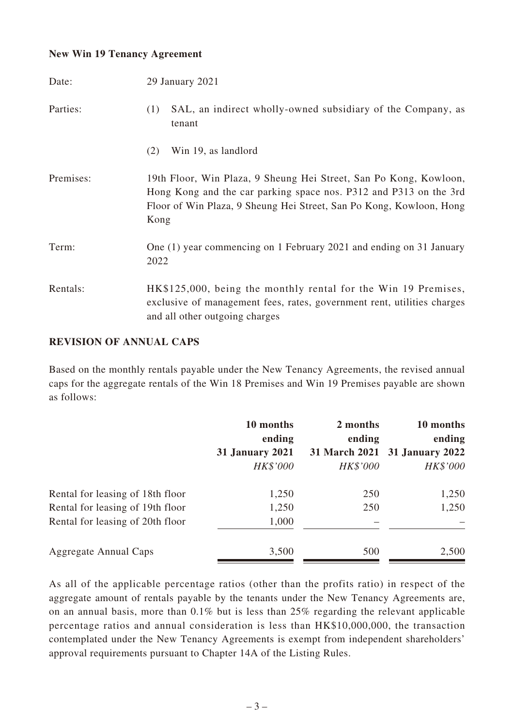#### **New Win 19 Tenancy Agreement**

| Date:     | 29 January 2021                                                                                                                                                                                                       |
|-----------|-----------------------------------------------------------------------------------------------------------------------------------------------------------------------------------------------------------------------|
| Parties:  | SAL, an indirect wholly-owned subsidiary of the Company, as<br>(1)<br>tenant                                                                                                                                          |
|           | Win 19, as landlord<br>(2)                                                                                                                                                                                            |
| Premises: | 19th Floor, Win Plaza, 9 Sheung Hei Street, San Po Kong, Kowloon,<br>Hong Kong and the car parking space nos. P312 and P313 on the 3rd<br>Floor of Win Plaza, 9 Sheung Hei Street, San Po Kong, Kowloon, Hong<br>Kong |
| Term:     | One (1) year commencing on 1 February 2021 and ending on 31 January<br>2022                                                                                                                                           |
| Rentals:  | HK\$125,000, being the monthly rental for the Win 19 Premises,<br>exclusive of management fees, rates, government rent, utilities charges<br>and all other outgoing charges                                           |

#### **REVISION OF ANNUAL CAPS**

Based on the monthly rentals payable under the New Tenancy Agreements, the revised annual caps for the aggregate rentals of the Win 18 Premises and Win 19 Premises payable are shown as follows:

|                                  | 10 months<br>ending    | 2 months<br>ending | 10 months<br>ending           |
|----------------------------------|------------------------|--------------------|-------------------------------|
|                                  | <b>31 January 2021</b> |                    | 31 March 2021 31 January 2022 |
|                                  | HK\$'000               | HK\$'000           | HK\$'000                      |
| Rental for leasing of 18th floor | 1,250                  | 250                | 1,250                         |
| Rental for leasing of 19th floor | 1,250                  | 250                | 1,250                         |
| Rental for leasing of 20th floor | 1,000                  |                    |                               |
| Aggregate Annual Caps            | 3,500                  | 500                | 2,500                         |

As all of the applicable percentage ratios (other than the profits ratio) in respect of the aggregate amount of rentals payable by the tenants under the New Tenancy Agreements are, on an annual basis, more than 0.1% but is less than 25% regarding the relevant applicable percentage ratios and annual consideration is less than HK\$10,000,000, the transaction contemplated under the New Tenancy Agreements is exempt from independent shareholders' approval requirements pursuant to Chapter 14A of the Listing Rules.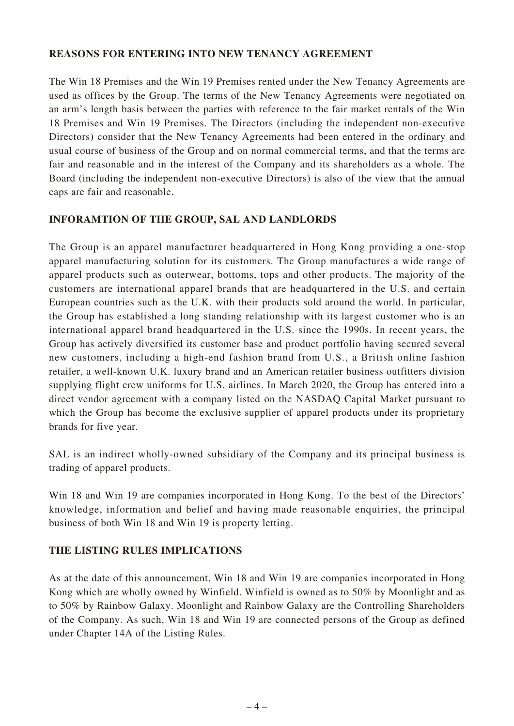#### **REASONS FOR ENTERING INTO NEW TENANCY AGREEMENT**

The Win 18 Premises and the Win 19 Premises rented under the New Tenancy Agreements are used as offices by the Group. The terms of the New Tenancy Agreements were negotiated on an arm's length basis between the parties with reference to the fair market rentals of the Win 18 Premises and Win 19 Premises. The Directors (including the independent non-executive Directors) consider that the New Tenancy Agreements had been entered in the ordinary and usual course of business of the Group and on normal commercial terms, and that the terms are fair and reasonable and in the interest of the Company and its shareholders as a whole. The Board (including the independent non-executive Directors) is also of the view that the annual caps are fair and reasonable.

## **INFORAMTION OF THE GROUP, SAL AND LANDLORDS**

The Group is an apparel manufacturer headquartered in Hong Kong providing a one-stop apparel manufacturing solution for its customers. The Group manufactures a wide range of apparel products such as outerwear, bottoms, tops and other products. The majority of the customers are international apparel brands that are headquartered in the U.S. and certain European countries such as the U.K. with their products sold around the world. In particular, the Group has established a long standing relationship with its largest customer who is an international apparel brand headquartered in the U.S. since the 1990s. In recent years, the Group has actively diversified its customer base and product portfolio having secured several new customers, including a high-end fashion brand from U.S., a British online fashion retailer, a well-known U.K. luxury brand and an American retailer business outfitters division supplying flight crew uniforms for U.S. airlines. In March 2020, the Group has entered into a direct vendor agreement with a company listed on the NASDAQ Capital Market pursuant to which the Group has become the exclusive supplier of apparel products under its proprietary brands for five year.

SAL is an indirect wholly-owned subsidiary of the Company and its principal business is trading of apparel products.

Win 18 and Win 19 are companies incorporated in Hong Kong. To the best of the Directors' knowledge, information and belief and having made reasonable enquiries, the principal business of both Win 18 and Win 19 is property letting.

#### **THE LISTING RULES IMPLICATIONS**

As at the date of this announcement, Win 18 and Win 19 are companies incorporated in Hong Kong which are wholly owned by Winfield. Winfield is owned as to 50% by Moonlight and as to 50% by Rainbow Galaxy. Moonlight and Rainbow Galaxy are the Controlling Shareholders of the Company. As such, Win 18 and Win 19 are connected persons of the Group as defined under Chapter 14A of the Listing Rules.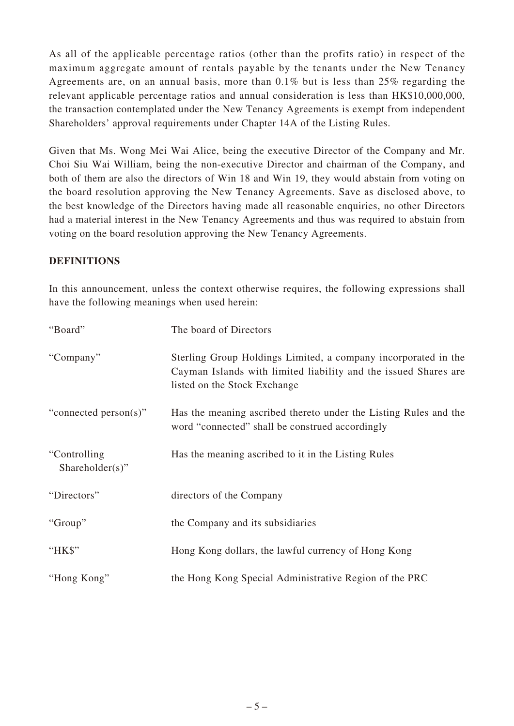As all of the applicable percentage ratios (other than the profits ratio) in respect of the maximum aggregate amount of rentals payable by the tenants under the New Tenancy Agreements are, on an annual basis, more than 0.1% but is less than 25% regarding the relevant applicable percentage ratios and annual consideration is less than HK\$10,000,000, the transaction contemplated under the New Tenancy Agreements is exempt from independent Shareholders' approval requirements under Chapter 14A of the Listing Rules.

Given that Ms. Wong Mei Wai Alice, being the executive Director of the Company and Mr. Choi Siu Wai William, being the non-executive Director and chairman of the Company, and both of them are also the directors of Win 18 and Win 19, they would abstain from voting on the board resolution approving the New Tenancy Agreements. Save as disclosed above, to the best knowledge of the Directors having made all reasonable enquiries, no other Directors had a material interest in the New Tenancy Agreements and thus was required to abstain from voting on the board resolution approving the New Tenancy Agreements.

## **DEFINITIONS**

In this announcement, unless the context otherwise requires, the following expressions shall have the following meanings when used herein:

| "Board"                          | The board of Directors                                                                                                                                            |
|----------------------------------|-------------------------------------------------------------------------------------------------------------------------------------------------------------------|
| "Company"                        | Sterling Group Holdings Limited, a company incorporated in the<br>Cayman Islands with limited liability and the issued Shares are<br>listed on the Stock Exchange |
| "connected person(s)"            | Has the meaning ascribed thereto under the Listing Rules and the<br>word "connected" shall be construed accordingly                                               |
| "Controlling"<br>Shareholder(s)" | Has the meaning ascribed to it in the Listing Rules                                                                                                               |
| "Directors"                      | directors of the Company                                                                                                                                          |
| "Group"                          | the Company and its subsidiaries                                                                                                                                  |
| "HK\$"                           | Hong Kong dollars, the lawful currency of Hong Kong                                                                                                               |
| "Hong Kong"                      | the Hong Kong Special Administrative Region of the PRC                                                                                                            |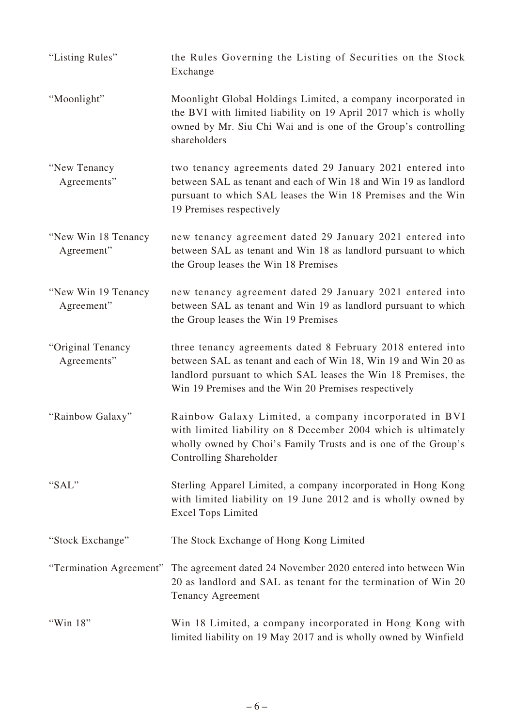| "Listing Rules"                    | the Rules Governing the Listing of Securities on the Stock<br>Exchange                                                                                                                                                                                  |
|------------------------------------|---------------------------------------------------------------------------------------------------------------------------------------------------------------------------------------------------------------------------------------------------------|
| "Moonlight"                        | Moonlight Global Holdings Limited, a company incorporated in<br>the BVI with limited liability on 19 April 2017 which is wholly<br>owned by Mr. Siu Chi Wai and is one of the Group's controlling<br>shareholders                                       |
| "New Tenancy<br>Agreements"        | two tenancy agreements dated 29 January 2021 entered into<br>between SAL as tenant and each of Win 18 and Win 19 as landlord<br>pursuant to which SAL leases the Win 18 Premises and the Win<br>19 Premises respectively                                |
| "New Win 18 Tenancy"<br>Agreement" | new tenancy agreement dated 29 January 2021 entered into<br>between SAL as tenant and Win 18 as landlord pursuant to which<br>the Group leases the Win 18 Premises                                                                                      |
| "New Win 19 Tenancy<br>Agreement"  | new tenancy agreement dated 29 January 2021 entered into<br>between SAL as tenant and Win 19 as landlord pursuant to which<br>the Group leases the Win 19 Premises                                                                                      |
| "Original Tenancy<br>Agreements"   | three tenancy agreements dated 8 February 2018 entered into<br>between SAL as tenant and each of Win 18, Win 19 and Win 20 as<br>landlord pursuant to which SAL leases the Win 18 Premises, the<br>Win 19 Premises and the Win 20 Premises respectively |
| "Rainbow Galaxy"                   | Rainbow Galaxy Limited, a company incorporated in BVI<br>with limited liability on 8 December 2004 which is ultimately<br>wholly owned by Choi's Family Trusts and is one of the Group's<br>Controlling Shareholder                                     |
| "SAL"                              | Sterling Apparel Limited, a company incorporated in Hong Kong<br>with limited liability on 19 June 2012 and is wholly owned by<br><b>Excel Tops Limited</b>                                                                                             |
| "Stock Exchange"                   | The Stock Exchange of Hong Kong Limited                                                                                                                                                                                                                 |
| "Termination Agreement"            | The agreement dated 24 November 2020 entered into between Win<br>20 as landlord and SAL as tenant for the termination of Win 20<br><b>Tenancy Agreement</b>                                                                                             |
| "Win 18"                           | Win 18 Limited, a company incorporated in Hong Kong with<br>limited liability on 19 May 2017 and is wholly owned by Winfield                                                                                                                            |